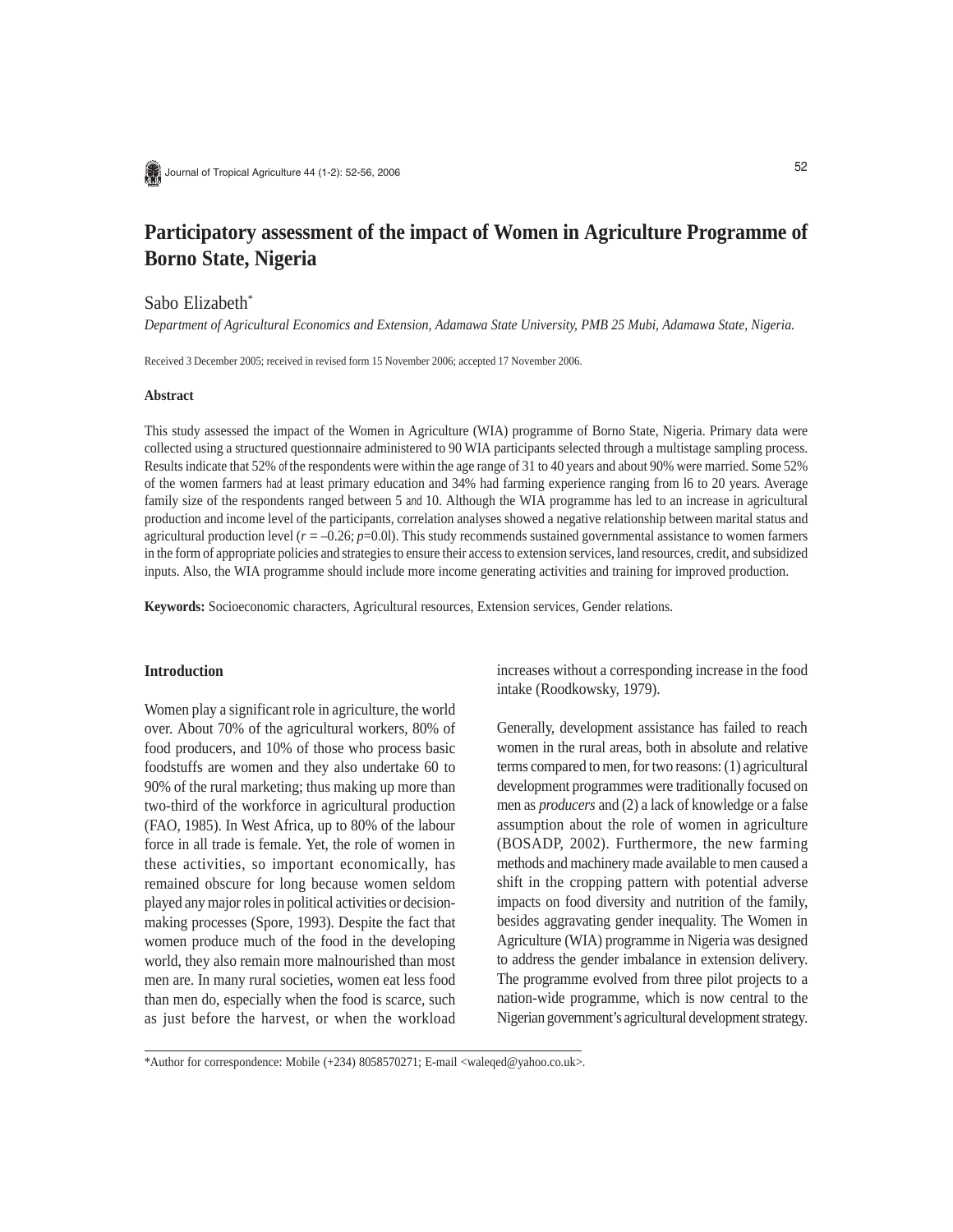

# **Participatory assessment of the impact of Women in Agriculture Programme of Borno State, Nigeria**

# Sabo Elizabeth\*

*Department of Agricultural Economics and Extension, Adamawa State University, PMB 25 Mubi, Adamawa State, Nigeria.*

Received 3 December 2005; received in revised form 15 November 2006; accepted 17 November 2006.

#### **Abstract**

This study assessed the impact of the Women in Agriculture (WIA) programme of Borno State, Nigeria. Primary data were collected using a structured questionnaire administered to 90 WIA participants selected through a multistage sampling process. Results indicate that 52% of the respondents were within the age range of 31 to 40 years and about 90% were married. Some 52% of the women farmers at least primary education and 34% had farming experience ranging from l6 to 20 years. Average family size of the respondents ranged between 5 and 10. Although the WIA programme has led to an increase in agricultural production and income level of the participants, correlation analyses showed a negative relationship between marital status and agricultural production level  $(r = -0.26; p = 0.01)$ . This study recommends sustained governmental assistance to women farmers in the form of appropriate policies and strategies to ensure their access to extension services, land resources, credit, and subsidized inputs. Also, the WIA programme should include more income generating activities and training for improved production.

**Keywords:** Socioeconomic characters, Agricultural resources, Extension services, Gender relations.

## **Introduction**

Women play a significant role in agriculture, the world over. About 70% of the agricultural workers, 80% of food producers, and 10% of those who process basic foodstuffs are women and they also undertake 60 to 90% of the rural marketing; thus making up more than two-third of the workforce in agricultural production (FAO, 1985). In West Africa, up to 80% of the labour force in all trade is female. Yet, the role of women in these activities, so important economically, has remained obscure for long because women seldom played any major roles in political activities or decisionmaking processes (Spore, 1993). Despite the fact that women produce much of the food in the developing world, they also remain more malnourished than most men are. In many rural societies, women eat less food than men do, especially when the food is scarce, such as just before the harvest, or when the workload increases without a corresponding increase in the food intake (Roodkowsky, 1979).

Generally, development assistance has failed to reach women in the rural areas, both in absolute and relative terms compared to men, for two reasons: (1) agricultural development programmes were traditionally focused on men as *producers* and (2) a lack of knowledge or a false assumption about the role of women in agriculture (BOSADP, 2002). Furthermore, the new farming methods and machinery made available to men caused a shift in the cropping pattern with potential adverse impacts on food diversity and nutrition of the family, besides aggravating gender inequality. The Women in Agriculture (WIA) programme in Nigeria was designed to address the gender imbalance in extension delivery. The programme evolved from three pilot projects to a nation-wide programme, which is now central to the Nigerian government's agricultural development strategy.

<sup>\*</sup>Author for correspondence: Mobile (+234) 8058570271; E-mail <waleqed@yahoo.co.uk>.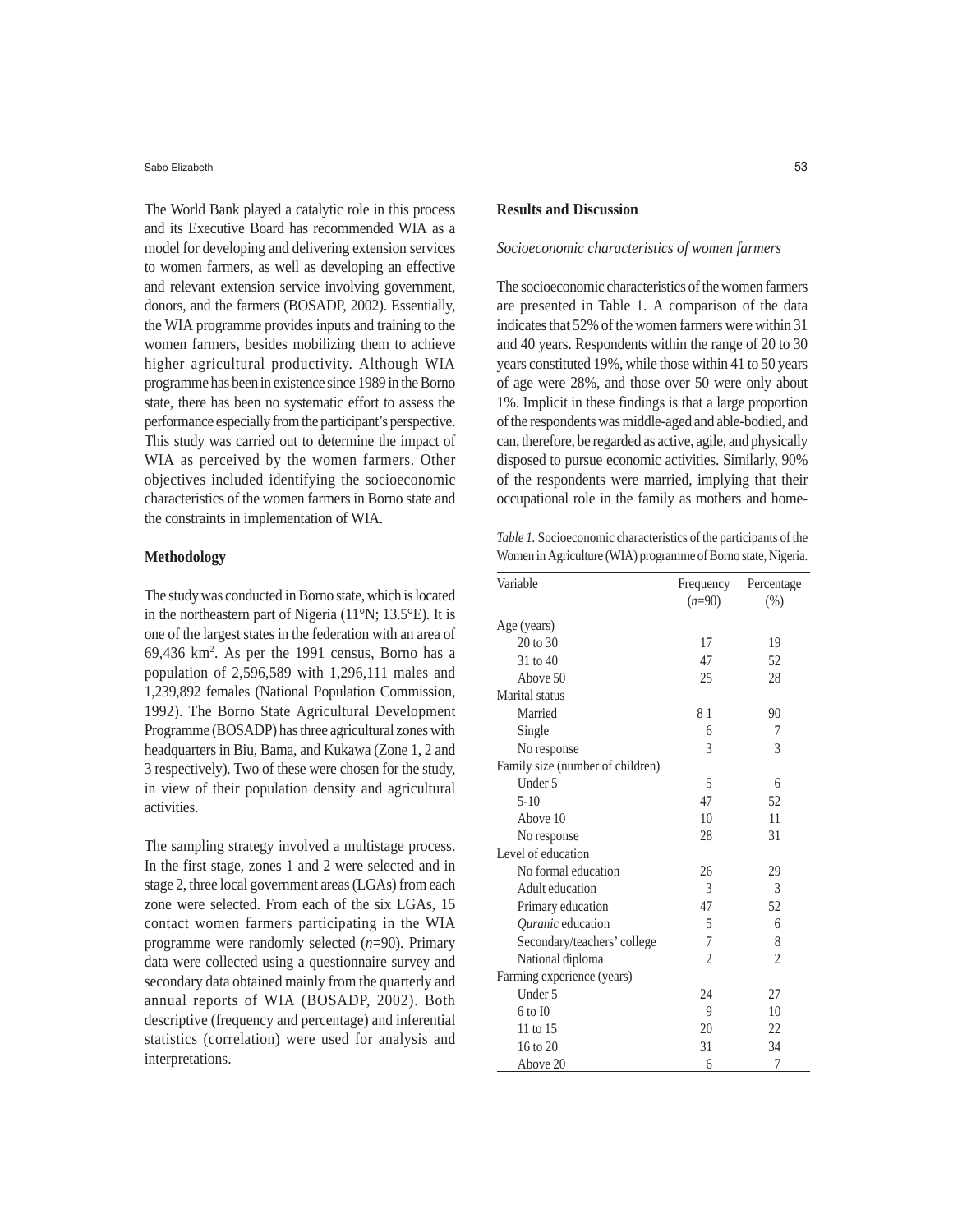Sabo Elizabeth

The World Bank played a catalytic role in this process and its Executive Board has recommended WIA as a model for developing and delivering extension services to women farmers, as well as developing an effective and relevant extension service involving government, donors, and the farmers (BOSADP, 2002). Essentially, the WIA programme provides inputs and training to the women farmers, besides mobilizing them to achieve higher agricultural productivity. Although WIA programme has been in existence since 1989 in the Borno state, there has been no systematic effort to assess the performance especially from the participant's perspective. This study was carried out to determine the impact of WIA as perceived by the women farmers. Other objectives included identifying the socioeconomic characteristics of the women farmers in Borno state and the constraints in implementation of WIA.

### **Methodology**

The study was conducted in Borno state, which is located in the northeastern part of Nigeria (11°N; 13.5°E). It is one of the largest states in the federation with an area of 69,436 km2 . As per the 1991 census, Borno has a population of 2,596,589 with 1,296,111 males and 1,239,892 females (National Population Commission, 1992). The Borno State Agricultural Development Programme (BOSADP) has three agricultural zones with headquarters in Biu, Bama, and Kukawa (Zone 1, 2 and 3 respectively). Two of these were chosen for the study, in view of their population density and agricultural activities.

The sampling strategy involved a multistage process. In the first stage, zones 1 and 2 were selected and in stage 2, three local government areas (LGAs) from each zone were selected. From each of the six LGAs, 15 contact women farmers participating in the WIA programme were randomly selected (*n*=90). Primary data were collected using a questionnaire survey and secondary data obtained mainly from the quarterly and annual reports of WIA (BOSADP, 2002). Both descriptive (frequency and percentage) and inferential statistics (correlation) were used for analysis and interpretations.

#### **Results and Discussion**

# *Socioeconomic characteristics of women farmers*

The socioeconomic characteristics of the women farmers are presented in Table 1. A comparison of the data indicates that 52% of the women farmers were within 31 and 40 years. Respondents within the range of 20 to 30 years constituted 19%, while those within 41 to 50 years of age were 28%, and those over 50 were only about 1%. Implicit in these findings is that a large proportion of the respondents was middle-aged and able-bodied, and can, therefore, be regarded as active, agile, and physically disposed to pursue economic activities. Similarly, 90% of the respondents were married, implying that their occupational role in the family as mothers and home-

*Table 1.* Socioeconomic characteristics of the participants of the Women in Agriculture (WIA) programme of Borno state, Nigeria.

| Variable                         | Frequency      | Percentage     |  |
|----------------------------------|----------------|----------------|--|
|                                  | $(n=90)$       | $(\% )$        |  |
| Age (years)                      |                |                |  |
| 20 to 30                         | 17             | 19             |  |
| 31 to 40                         | 47             | 52             |  |
| Above 50                         | 25             | 28             |  |
| Marital status                   |                |                |  |
| Married                          | 81             | 90             |  |
| Single                           | 6              | 7              |  |
| No response                      | 3              | 3              |  |
| Family size (number of children) |                |                |  |
| Under 5                          | 5              | 6              |  |
| $5-10$                           | 47             | 52             |  |
| Above 10                         | 10             | 11             |  |
| No response                      | 28             | 31             |  |
| Level of education               |                |                |  |
| No formal education              | 26             | 29             |  |
| Adult education                  | 3              | 3              |  |
| Primary education                | 47             | 52             |  |
| Ouranic education                | 5              | 6              |  |
| Secondary/teachers' college      | $\overline{7}$ | 8              |  |
| National diploma                 | $\overline{c}$ | $\mathfrak{2}$ |  |
| Farming experience (years)       |                |                |  |
| Under 5                          | 24             | 27             |  |
| $6$ to $I$ <sup>0</sup>          | 9              | 10             |  |
| 11 to 15                         | 20             | 22             |  |
| 16 to 20                         | 31             | 34             |  |
| Above 20                         | 6              | 7              |  |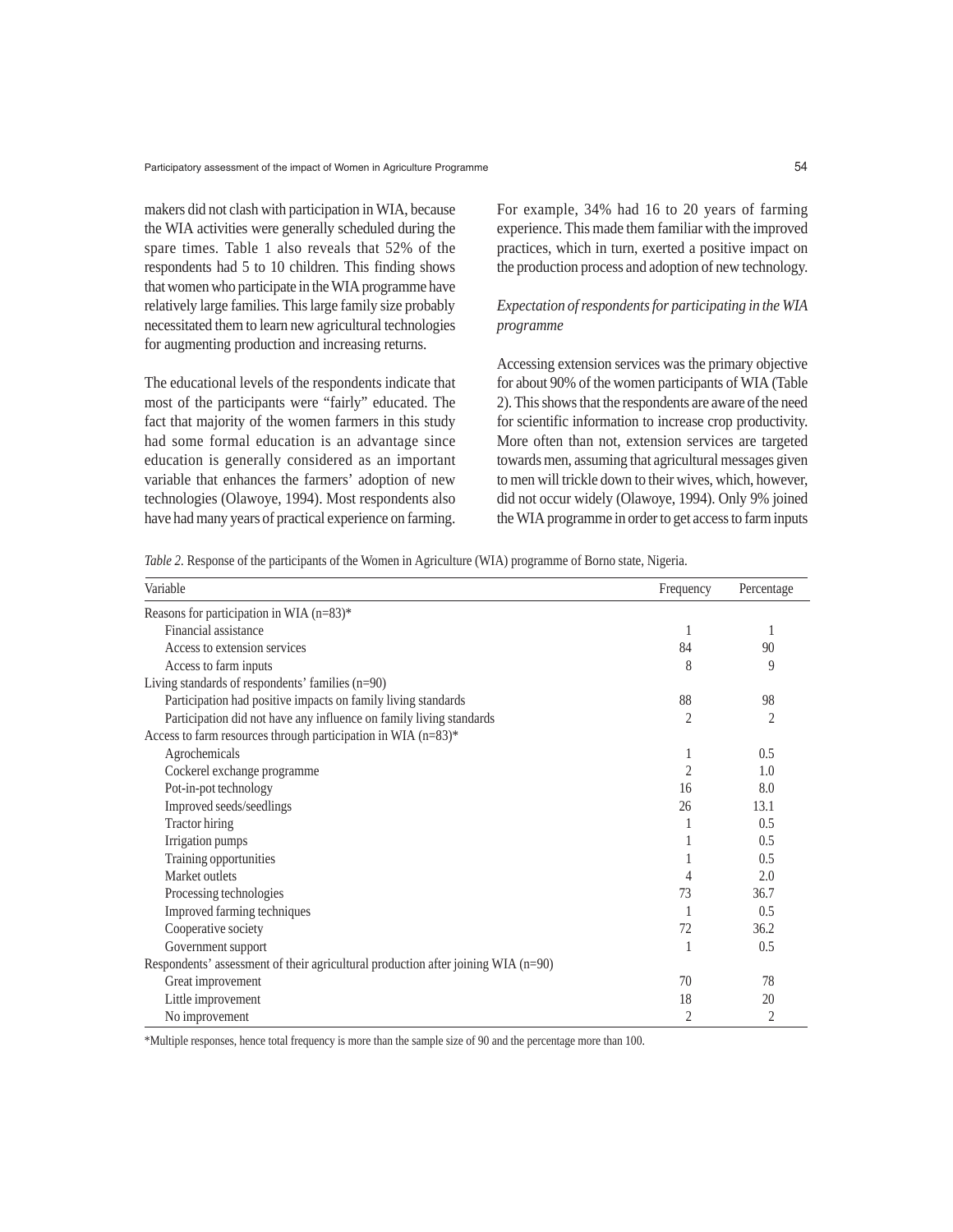makers did not clash with participation in WIA, because the WIA activities were generally scheduled during the spare times. Table 1 also reveals that 52% of the respondents had 5 to 10 children. This finding shows that women who participate in the WIA programme have relatively large families. This large family size probably necessitated them to learn new agricultural technologies for augmenting production and increasing returns.

The educational levels of the respondents indicate that most of the participants were "fairly" educated. The fact that majority of the women farmers in this study had some formal education is an advantage since education is generally considered as an important variable that enhances the farmers' adoption of new technologies (Olawoye, 1994). Most respondents also have had many years of practical experience on farming.

For example, 34% had 16 to 20 years of farming experience. This made them familiar with the improved practices, which in turn, exerted a positive impact on the production process and adoption of new technology.

# *Expectation of respondents for participating in the WIA programme*

Accessing extension services was the primary objective for about 90% of the women participants of WIA (Table 2). This shows that the respondents are aware of the need for scientific information to increase crop productivity. More often than not, extension services are targeted towards men, assuming that agricultural messages given to men will trickle down to their wives, which, however, did not occur widely (Olawoye, 1994). Only 9% joined the WIA programme in order to get access to farm inputs

*Table 2.* Response of the participants of the Women in Agriculture (WIA) programme of Borno state, Nigeria.

| Variable                                                                          | Frequency      | Percentage     |
|-----------------------------------------------------------------------------------|----------------|----------------|
| Reasons for participation in WIA (n=83)*                                          |                |                |
| Financial assistance                                                              | 1              |                |
| Access to extension services                                                      | 84             | 90             |
| Access to farm inputs                                                             | 8              | 9              |
| Living standards of respondents' families (n=90)                                  |                |                |
| Participation had positive impacts on family living standards                     | 88             | 98             |
| Participation did not have any influence on family living standards               | 2              | $\mathfrak{D}$ |
| Access to farm resources through participation in WIA (n=83)*                     |                |                |
| Agrochemicals                                                                     | 1              | 0.5            |
| Cockerel exchange programme                                                       | $\mathfrak{D}$ | 1.0            |
| Pot-in-pot technology                                                             | 16             | 8.0            |
| Improved seeds/seedlings                                                          | 26             | 13.1           |
| <b>Tractor</b> hiring                                                             |                | 0.5            |
| Irrigation pumps                                                                  |                | 0.5            |
| Training opportunities                                                            |                | 0.5            |
| Market outlets                                                                    | 4              | 2.0            |
| Processing technologies                                                           | 73             | 36.7           |
| Improved farming techniques                                                       |                | 0.5            |
| Cooperative society                                                               | 72             | 36.2           |
| Government support                                                                | 1              | 0.5            |
| Respondents' assessment of their agricultural production after joining WIA (n=90) |                |                |
| Great improvement                                                                 | 70             | 78             |
| Little improvement                                                                | 18             | 20             |
| No improvement                                                                    | $\overline{c}$ | 2              |

\*Multiple responses, hence total frequency is more than the sample size of 90 and the percentage more than 100.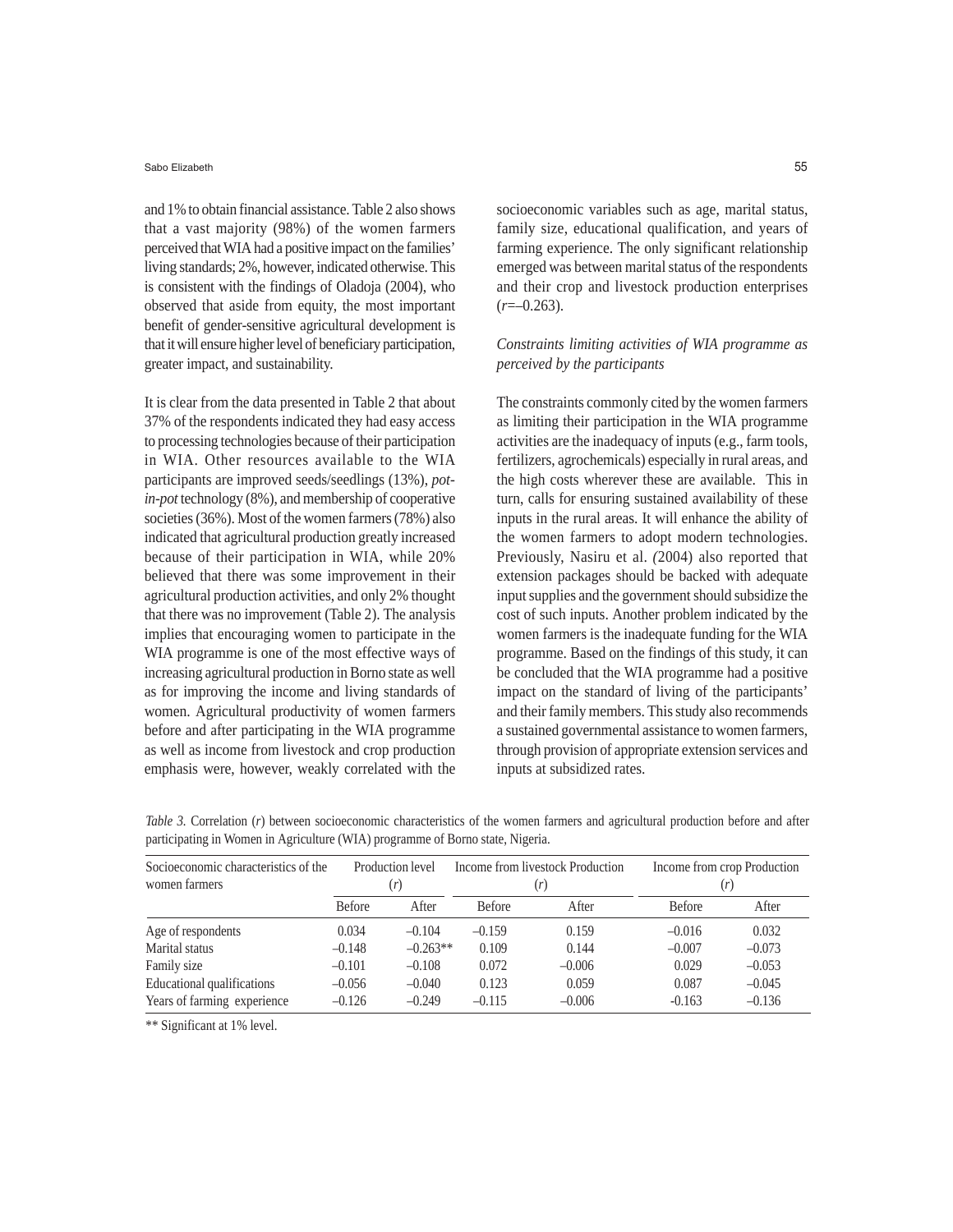#### Sabo Elizabeth

and 1% to obtain financial assistance. Table 2 also shows that a vast majority (98%) of the women farmers perceived that WIA had a positive impact on the families' living standards; 2%, however, indicated otherwise. This is consistent with the findings of Oladoja (2004), who observed that aside from equity, the most important benefit of gender-sensitive agricultural development is that it will ensure higher level of beneficiary participation, greater impact, and sustainability.

It is clear from the data presented in Table 2 that about 37% of the respondents indicated they had easy access to processing technologies because of their participation in WIA. Other resources available to the WIA participants are improved seeds/seedlings (13%), *potin-pot* technology (8%), and membership of cooperative societies (36%). Most of the women farmers (78%) also indicated that agricultural production greatly increased because of their participation in WIA, while 20% believed that there was some improvement in their agricultural production activities, and only 2% thought that there was no improvement (Table 2). The analysis implies that encouraging women to participate in the WIA programme is one of the most effective ways of increasing agricultural production in Borno state as well as for improving the income and living standards of women. Agricultural productivity of women farmers before and after participating in the WIA programme as well as income from livestock and crop production emphasis were, however, weakly correlated with the socioeconomic variables such as age, marital status, family size, educational qualification, and years of farming experience. The only significant relationship emerged was between marital status of the respondents and their crop and livestock production enterprises  $(r=-0.263)$ .

# *Constraints limiting activities of WIA programme as perceived by the participants*

The constraints commonly cited by the women farmers as limiting their participation in the WIA programme activities are the inadequacy of inputs (e.g., farm tools, fertilizers, agrochemicals) especially in rural areas, and the high costs wherever these are available. This in turn, calls for ensuring sustained availability of these inputs in the rural areas. It will enhance the ability of the women farmers to adopt modern technologies. Previously, Nasiru et al. *(*2004) also reported that extension packages should be backed with adequate input supplies and the government should subsidize the cost of such inputs. Another problem indicated by the women farmers is the inadequate funding for the WIA programme. Based on the findings of this study, it can be concluded that the WIA programme had a positive impact on the standard of living of the participants' and their family members. This study also recommends a sustained governmental assistance to women farmers, through provision of appropriate extension services and inputs at subsidized rates.

| Socioeconomic characteristics of the | Production level |            | Income from livestock Production |       | Income from crop Production |          |
|--------------------------------------|------------------|------------|----------------------------------|-------|-----------------------------|----------|
| women farmers                        | (r)              |            | (r)                              |       |                             |          |
|                                      | <b>Before</b>    | After      | <b>Before</b>                    | After | <b>Before</b>               | After    |
| Age of respondents                   | 0.034            | $-0.104$   | $-0.159$                         | 0.159 | $-0.016$                    | 0.032    |
| Marital status                       | $-0.148$         | $-0.263**$ | 0.109                            | 0.144 | $-0.007$                    | $-0.073$ |

Family size –0.101 –0.108 0.072 –0.006 0.029 –0.053 Educational qualifications –0.056 –0.040 0.123 0.059 0.087 –0.045 Years of farming experience  $-0.126$   $-0.249$   $-0.115$   $-0.006$   $-0.163$   $-0.136$ 

*Table 3.* Correlation (*r*) between socioeconomic characteristics of the women farmers and agricultural production before and after participating in Women in Agriculture (WIA) programme of Borno state, Nigeria.

\*\* Significant at 1% level.